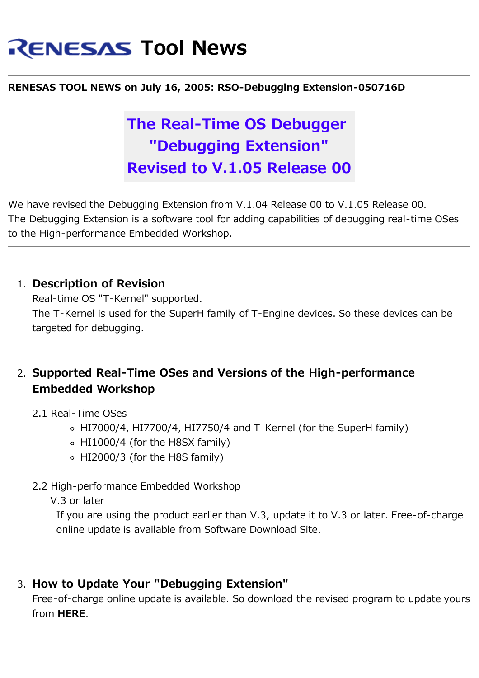# **RENESAS Tool News**

#### **RENESAS TOOL NEWS on July 16, 2005: RSO-Debugging Extension-050716D**

## **The Real-Time OS Debugger "Debugging Extension" Revised to V.1.05 Release 00**

We have revised the Debugging Extension from V.1.04 Release 00 to V.1.05 Release 00. The Debugging Extension is a software tool for adding capabilities of debugging real-time OSes to the High-performance Embedded Workshop.

#### 1. **Description of Revision**

Real-time OS "T-Kernel" supported. The T-Kernel is used for the SuperH family of T-Engine devices. So these devices can be targeted for debugging.

#### 2. **Supported Real-Time OSes and Versions of the High-performance Embedded Workshop**

- 2.1 Real-Time OSes
	- HI7000/4, HI7700/4, HI7750/4 and T-Kernel (for the SuperH family)
	- HI1000/4 (for the H8SX family)
	- HI2000/3 (for the H8S family)
- 2.2 High-performance Embedded Workshop

V.3 or later

If you are using the product earlier than V.3, update it to V.3 or later. Free-of-charge online update is available from Software Download Site.

#### 3. **How to Update Your "Debugging Extension"**

Free-of-charge online update is available. So download the revised program to update yours from **HERE**.